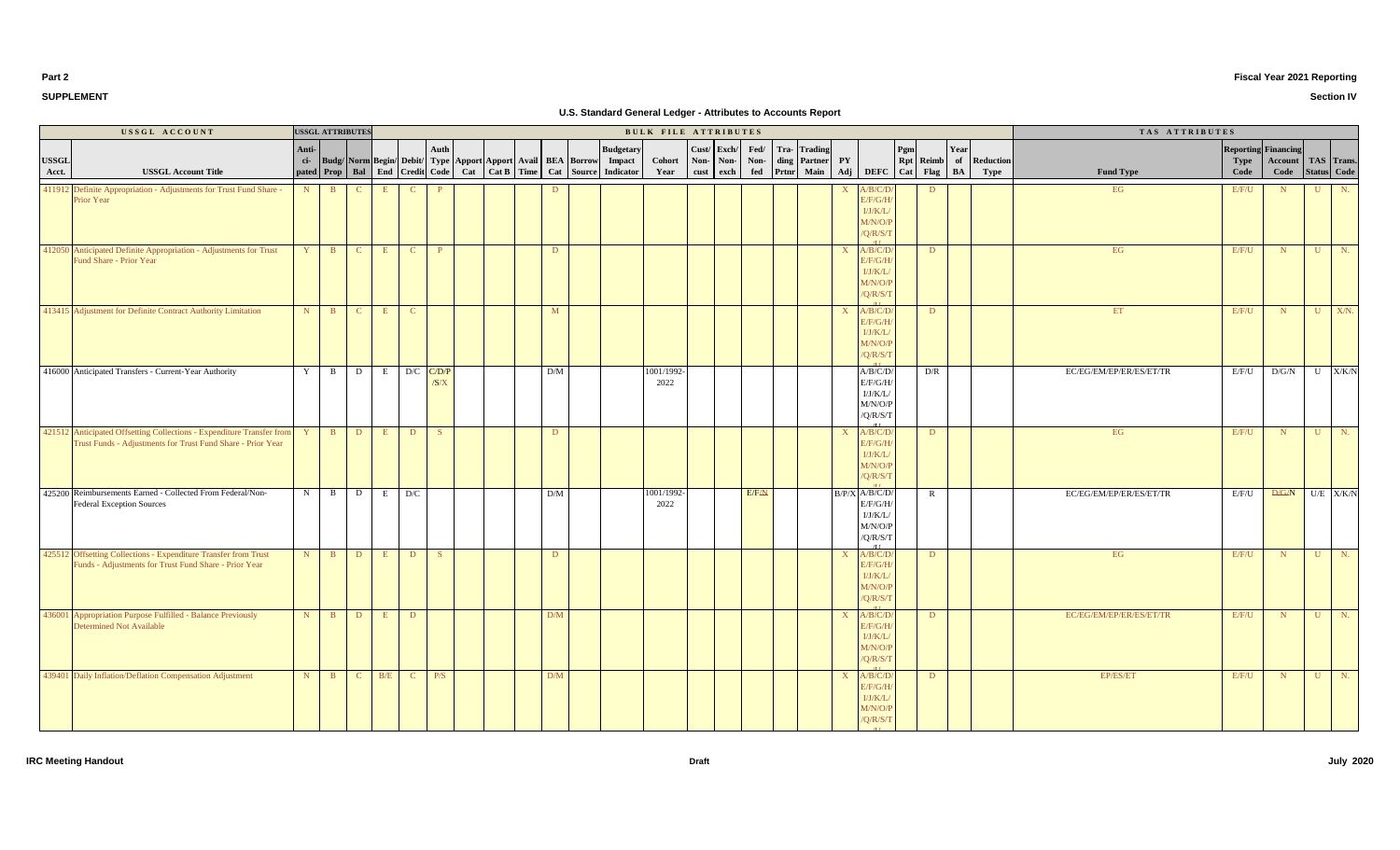**IRC Meeting Handout Draft July 2020**

/U

| <b>SUPPLEMENT</b> |  |
|-------------------|--|
|                   |  |
|                   |  |

**Part 2**

|                       | USSGL ACCOUNT                                                                                                                        |       | <b>USSGL ATTRIBUTES</b> |              |     | BULK FILE ATTRIBUTES |              |  |  |                                                                  |     |                                                                                                  |                    |                        |           |              |                                                          |  |                                                                                    | TAS ATTRIBUTES                                             |      |                         |                                  |                                         |              |                |
|-----------------------|--------------------------------------------------------------------------------------------------------------------------------------|-------|-------------------------|--------------|-----|----------------------|--------------|--|--|------------------------------------------------------------------|-----|--------------------------------------------------------------------------------------------------|--------------------|------------------------|-----------|--------------|----------------------------------------------------------|--|------------------------------------------------------------------------------------|------------------------------------------------------------|------|-------------------------|----------------------------------|-----------------------------------------|--------------|----------------|
| <b>USSGL</b><br>Acct. | <b>USSGL Account Title</b>                                                                                                           | Anti- |                         |              |     |                      | Auth         |  |  | ci- Budg/ Norm Begin/ Debit/ Type Apport Apport Avail BEA Borrow |     | <b>Budgetary</b><br>Impact<br>pated Prop Bal End Credit Code Cat Cat B Time Cat Source Indicator | Cohort<br>Year     | Cust/ Exch<br>Non-Non- | cust exch | Fed/<br>Non- | <b>Trading</b><br>Tra-<br>ding Partner<br>fed Prtnr Main |  | ${\bf P}{\bf Y}$                                                                   | Pgm<br>Rpt Reimb of Reduction<br>Adj DEFC Cat Flag BA Type | Year | <b>Fund Type</b>        | Reporting<br><b>Type</b><br>Code | Financing<br>Account TAS Trans.<br>Code |              | Status Code    |
|                       | 411912 Definite Appropriation - Adjustments for Trust Fund Share -<br>Prior Year                                                     |       | $N$ B                   |              | E   | $\mathbf{C}$         |              |  |  |                                                                  | D   |                                                                                                  |                    |                        |           |              |                                                          |  | A/B/C/D<br>X<br>E/F/G/H<br>I/J/K/L<br>M/N/O/P<br>$\sqrt{Q/R/S/T}$                  | D                                                          |      | EG                      | E/F/U                            | N                                       |              | $U$ N.         |
|                       | 412050 Anticipated Definite Appropriation - Adjustments for Trust<br>Fund Share - Prior Year                                         |       | $Y \parallel B$         | $\mathbf{C}$ | E   | $\mathbf{C}$         | $\mathbf{P}$ |  |  |                                                                  | D   |                                                                                                  |                    |                        |           |              |                                                          |  | A/B/C/D<br>$\mathbf{X}$<br>E/F/G/H<br>I/J/K/L<br>M/N/O/P<br>/Q/R/S/T               | D                                                          |      | EG                      | E/F/U                            | N                                       |              | $U$ N.         |
|                       | 413415 Adjustment for Definite Contract Authority Limitation                                                                         |       | $N$ B                   | $\mathbf{C}$ | E   | $\mathbf{C}$         |              |  |  |                                                                  | M   |                                                                                                  |                    |                        |           |              |                                                          |  | A/B/C/D<br>$\mathbf{X}$<br>E/F/G/H<br>I/J/K/L<br>M/N/O/P<br>/Q/R/S/T<br>$\sqrt{1}$ | $\mathbf{D}$                                               |      | ET                      | E/F/U                            | N                                       | U            | $X/N$ .        |
|                       | 416000 Anticipated Transfers - Current-Year Authority                                                                                |       | Y B                     | $\mathbf{D}$ |     | $E$ D/C $C/D/P$      | /S/X         |  |  |                                                                  | D/M |                                                                                                  | 1001/1992-<br>2022 |                        |           |              |                                                          |  | A/B/C/D/<br>E/F/G/H<br>I/J/K/L/<br>M/N/O/P<br>/Q/R/S/T                             | D/R                                                        |      | EC/EG/EM/EP/ER/ES/ET/TR | E/F/U                            | D/G/N                                   |              | U X/K/N        |
|                       | 421512 Anticipated Offsetting Collections - Expenditure Transfer from<br>Trust Funds - Adjustments for Trust Fund Share - Prior Year | $Y -$ | $\mathbf{B}$            | $\mathbf{D}$ | E   | D                    | S            |  |  |                                                                  | D   |                                                                                                  |                    |                        |           |              |                                                          |  | A/B/C/D<br>$\mathbf{X}$<br>E/F/G/H<br>I/J/K/L<br>M/N/O/P<br>/Q/R/S/T               | D                                                          |      | EG                      | E/F/U                            | N                                       | U            | $\mathbb{N}$ . |
|                       | 425200 Reimbursements Earned - Collected From Federal/Non-<br><b>Federal Exception Sources</b>                                       |       | $N$ B                   | D            |     | $E$ D/C              |              |  |  |                                                                  | D/M |                                                                                                  | 1001/1992-<br>2022 |                        |           | E/FAN        |                                                          |  | $B/P/X$ $A/B/C/D/$<br>E/F/G/H/<br>I/J/K/L<br>M/N/O/P<br>/Q/R/S/T<br>$/$ T T        | $\mathbb{R}$                                               |      | EC/EG/EM/EP/ER/ES/ET/TR | E/F/U                            | $D/G/N$ U/E X/K/N                       |              |                |
|                       | 425512 Offsetting Collections - Expenditure Transfer from Trust<br>Funds - Adjustments for Trust Fund Share - Prior Year             |       | $N$ $B$                 | $\mathbf{D}$ | E   | D                    | S            |  |  |                                                                  | D   |                                                                                                  |                    |                        |           |              |                                                          |  | A/B/C/D<br>$\mathbf{X}$<br>E/F/G/H<br>I/J/K/L<br>M/N/O/P<br>/Q/R/S/T               | D                                                          |      | EG                      | E/F/U                            | N                                       |              | $U$ N.         |
|                       | 436001 Appropriation Purpose Fulfilled - Balance Previously<br><b>Determined Not Available</b>                                       |       | $N$ B                   | D            | E   | $\mathbf{D}$         |              |  |  |                                                                  | D/M |                                                                                                  |                    |                        |           |              |                                                          |  | A/B/C/D<br>$\mathbf{X}$<br>E/F/G/H<br>I/J/K/L<br>M/N/O/P<br>$\sqrt{Q/R/S/T}$       | D                                                          |      | EC/EG/EM/EP/ER/ES/ET/TR | E/F/U                            | N                                       | $\mathbf{U}$ | $N$ .          |
|                       | 439401 Daily Inflation/Deflation Compensation Adjustment                                                                             |       | $N$ B                   | $\mathbf{C}$ | B/E | $C \t P/S$           |              |  |  |                                                                  | D/M |                                                                                                  |                    |                        |           |              |                                                          |  | A/B/C/D<br>X<br>E/F/G/H<br>I/J/K/L<br>M/N/O/P<br>/Q/R/S/T                          | D                                                          |      | EP/ES/ET                | E/F/U                            | N                                       | $\mathbf{U}$ | $N$ .          |

# **Fiscal Year 2021 Reporting**